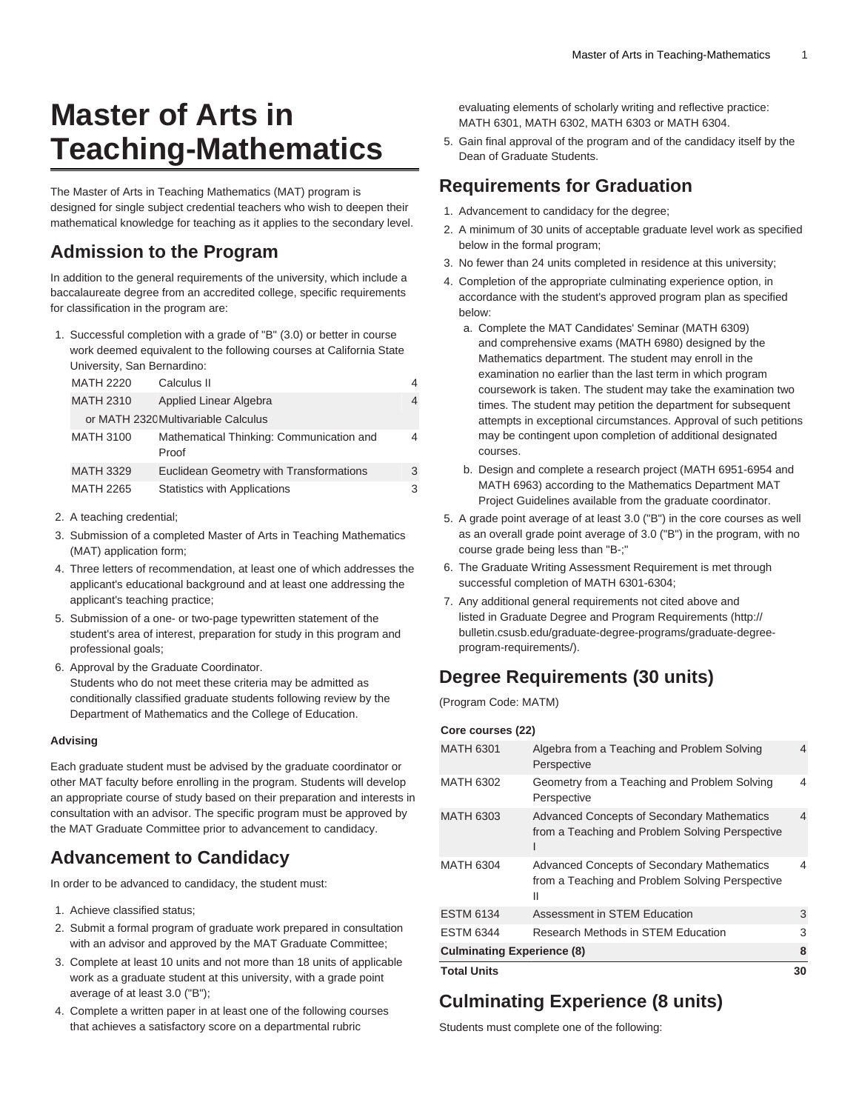# **Master of Arts in Teaching-Mathematics**

The Master of Arts in Teaching Mathematics (MAT) program is designed for single subject credential teachers who wish to deepen their mathematical knowledge for teaching as it applies to the secondary level.

#### **Admission to the Program**

In addition to the general requirements of the university, which include a baccalaureate degree from an accredited college, specific requirements for classification in the program are:

1. Successful completion with a grade of "B" (3.0) or better in course work deemed equivalent to the following courses at California State University, San Bernardino:

|  | <b>MATH 2220</b> | Calculus II                                       | 4 |
|--|------------------|---------------------------------------------------|---|
|  | <b>MATH 2310</b> | Applied Linear Algebra                            | 4 |
|  |                  | or MATH 2320 Multivariable Calculus               |   |
|  | <b>MATH 3100</b> | Mathematical Thinking: Communication and<br>Proof | 4 |
|  | <b>MATH 3329</b> | Euclidean Geometry with Transformations           | 3 |
|  | <b>MATH 2265</b> | Statistics with Applications                      | 3 |

- 2. A teaching credential;
- 3. Submission of a completed Master of Arts in Teaching Mathematics (MAT) application form;
- 4. Three letters of recommendation, at least one of which addresses the applicant's educational background and at least one addressing the applicant's teaching practice;
- 5. Submission of a one- or two-page typewritten statement of the student's area of interest, preparation for study in this program and professional goals;
- 6. Approval by the Graduate Coordinator.
- Students who do not meet these criteria may be admitted as conditionally classified graduate students following review by the Department of Mathematics and the College of Education.

#### **Advising**

Each graduate student must be advised by the graduate coordinator or other MAT faculty before enrolling in the program. Students will develop an appropriate course of study based on their preparation and interests in consultation with an advisor. The specific program must be approved by the MAT Graduate Committee prior to advancement to candidacy.

### **Advancement to Candidacy**

In order to be advanced to candidacy, the student must:

- 1. Achieve classified status;
- 2. Submit a formal program of graduate work prepared in consultation with an advisor and approved by the MAT Graduate Committee;
- 3. Complete at least 10 units and not more than 18 units of applicable work as a graduate student at this university, with a grade point average of at least 3.0 ("B");
- 4. Complete a written paper in at least one of the following courses that achieves a satisfactory score on a departmental rubric

evaluating elements of scholarly writing and reflective practice: [MATH 6301,](/search/?P=MATH%206301) [MATH 6302](/search/?P=MATH%206302), [MATH 6303](/search/?P=MATH%206303) or [MATH 6304](/search/?P=MATH%206304).

5. Gain final approval of the program and of the candidacy itself by the Dean of Graduate Students.

#### **Requirements for Graduation**

- 1. Advancement to candidacy for the degree;
- 2. A minimum of 30 units of acceptable graduate level work as specified below in the formal program;
- 3. No fewer than 24 units completed in residence at this university;
- 4. Completion of the appropriate culminating experience option, in accordance with the student's approved program plan as specified below:
	- a. Complete the MAT Candidates' Seminar ([MATH 6309\)](/search/?P=MATH%206309) and comprehensive exams ([MATH 6980](/search/?P=MATH%206980)) designed by the Mathematics department. The student may enroll in the examination no earlier than the last term in which program coursework is taken. The student may take the examination two times. The student may petition the department for subsequent attempts in exceptional circumstances. Approval of such petitions may be contingent upon completion of additional designated courses.
	- b. Design and complete a research project (MATH 6951-6954 and [MATH 6963\)](/search/?P=MATH%206963) according to the Mathematics Department MAT Project Guidelines available from the graduate coordinator.
- 5. A grade point average of at least 3.0 ("B") in the core courses as well as an overall grade point average of 3.0 ("B") in the program, with no course grade being less than "B-;"
- 6. The Graduate Writing Assessment Requirement is met through successful completion of MATH 6301-6304;
- 7. Any additional general requirements not cited above and listed in [Graduate Degree and Program Requirements](http://bulletin.csusb.edu/graduate-degree-programs/graduate-degree-program-requirements/) ([http://](http://bulletin.csusb.edu/graduate-degree-programs/graduate-degree-program-requirements/) [bulletin.csusb.edu/graduate-degree-programs/graduate-degree](http://bulletin.csusb.edu/graduate-degree-programs/graduate-degree-program-requirements/)[program-requirements/\)](http://bulletin.csusb.edu/graduate-degree-programs/graduate-degree-program-requirements/).

### **Degree Requirements (30 units)**

(Program Code: MATM)

**Core courses (22)**

| <b>Total Units</b>                |                                                                                                           | 30             |
|-----------------------------------|-----------------------------------------------------------------------------------------------------------|----------------|
| <b>Culminating Experience (8)</b> |                                                                                                           |                |
| <b>ESTM 6344</b>                  | Research Methods in STEM Education                                                                        | 3              |
| <b>ESTM 6134</b>                  | Assessment in STEM Education                                                                              | 3              |
| <b>MATH 6304</b>                  | <b>Advanced Concepts of Secondary Mathematics</b><br>from a Teaching and Problem Solving Perspective<br>Ш | 4              |
| <b>MATH 6303</b>                  | <b>Advanced Concepts of Secondary Mathematics</b><br>from a Teaching and Problem Solving Perspective      | $\overline{4}$ |
| <b>MATH 6302</b>                  | Geometry from a Teaching and Problem Solving<br>Perspective                                               | 4              |
| <b>MATH 6301</b>                  | Algebra from a Teaching and Problem Solving<br>Perspective                                                | 4              |
| <b>UUIT GUUISTS (44)</b>          |                                                                                                           |                |

## **Culminating Experience (8 units)**

Students must complete one of the following: